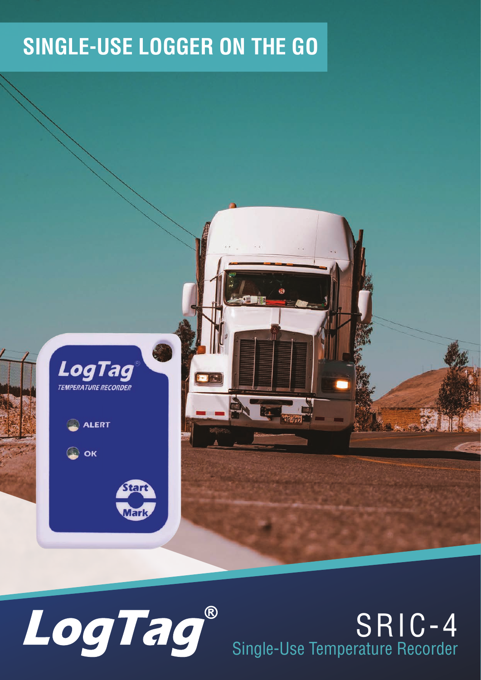#### **SINGLE-USE LOGGER ON THE GO**





#### SRIC-4 Single-Use Temperature Recorder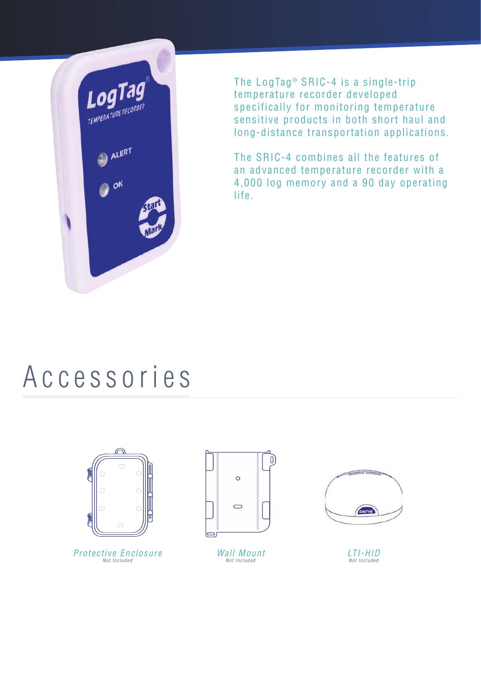

The LogTag<sup>®</sup> SRIC-4 is a single-trip temperature recorder developed specifically for monitoring temperature sensitive products in both short haul and long-distance transportation applications.

The SRIC-4 combines all the features of an advanced temperature recorder with a 4,000 log memory and a 90 day operating life.

#### Accessories



Protective Enclosure Not Included



Wall Mount Not Included



LTI-HID Not Included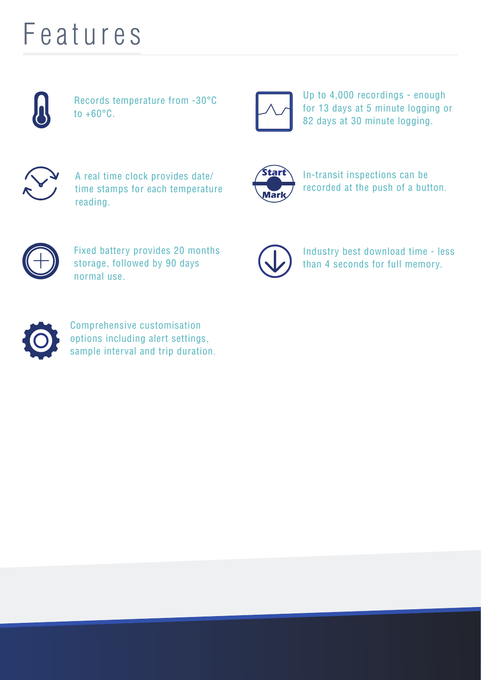## Features



Records temperature from -30°C to  $+60^{\circ}$ C.



Up to 4,000 recordings - enough for 13 days at 5 minute logging or 82 days at 30 minute logging.



A real time clock provides date/ time stamps for each temperature reading.



In-transit inspections can be recorded at the push of a button.



Fixed battery provides 20 months storage, followed by 90 days normal use.



Industry best download time - less than 4 seconds for full memory.



Comprehensive customisation options including alert settings, sample interval and trip duration.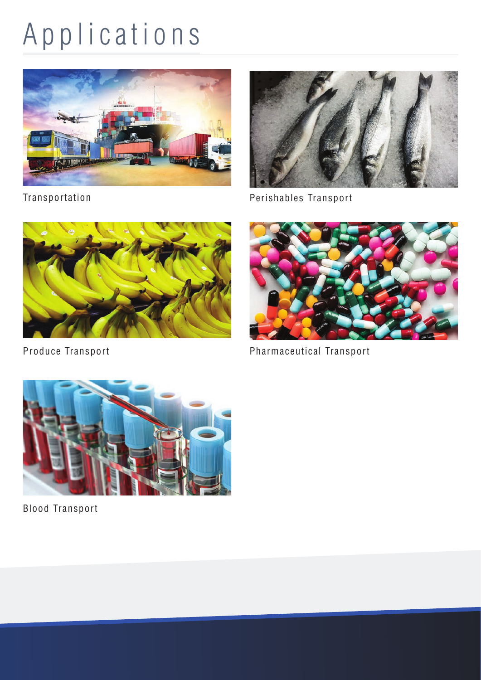# Applications



Transportation



Perishables Transport



Produce Transport



Pharmaceutical Transport



Blood Transport